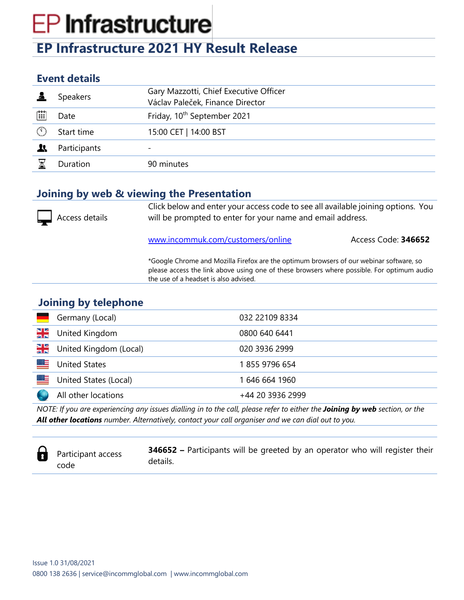# **EP Infrastructure**

## **EP Infrastructure 2021 HY Result Release**

### **Event details**

|   | <b>Speakers</b> | Gary Mazzotti, Chief Executive Officer<br>Václav Paleček, Finance Director |
|---|-----------------|----------------------------------------------------------------------------|
| 曲 | Date            | Friday, 10 <sup>th</sup> September 2021                                    |
|   | Start time      | 15:00 CET   14:00 BST                                                      |
|   | Participants    | $\overline{\phantom{a}}$                                                   |
|   | Duration        | 90 minutes                                                                 |

#### **Joining by web & viewing the Presentation**

| Access details | will be prompted to enter for your name and email address.                                                                                                                                                                     | Click below and enter your access code to see all available joining options. You |  |
|----------------|--------------------------------------------------------------------------------------------------------------------------------------------------------------------------------------------------------------------------------|----------------------------------------------------------------------------------|--|
|                | www.incommuk.com/customers/online                                                                                                                                                                                              | Access Code: 346652                                                              |  |
|                | *Google Chrome and Mozilla Firefox are the optimum browsers of our webinar software, so<br>please access the link above using one of these browsers where possible. For optimum audio<br>the use of a headset is also advised. |                                                                                  |  |
|                |                                                                                                                                                                                                                                |                                                                                  |  |

### **Joining by telephone**

|          | Germany (Local)        | 032 22109 8334   |
|----------|------------------------|------------------|
| NE<br>Ek | United Kingdom         | 0800 640 6441    |
| NE<br>25 | United Kingdom (Local) | 020 3936 2999    |
| ▩≡       | <b>United States</b>   | 18559796654      |
| ▩≡       | United States (Local)  | 1 646 664 1960   |
|          | All other locations    | +44 20 3936 2999 |
|          |                        |                  |

*NOTE: If you are experiencing any issues dialling in to the call, please refer to either the Joining by web section, or the All other locations number. Alternatively, contact your call organiser and we can dial out to you.*



Participant access code

**346652 –** Participants will be greeted by an operator who will register their details.